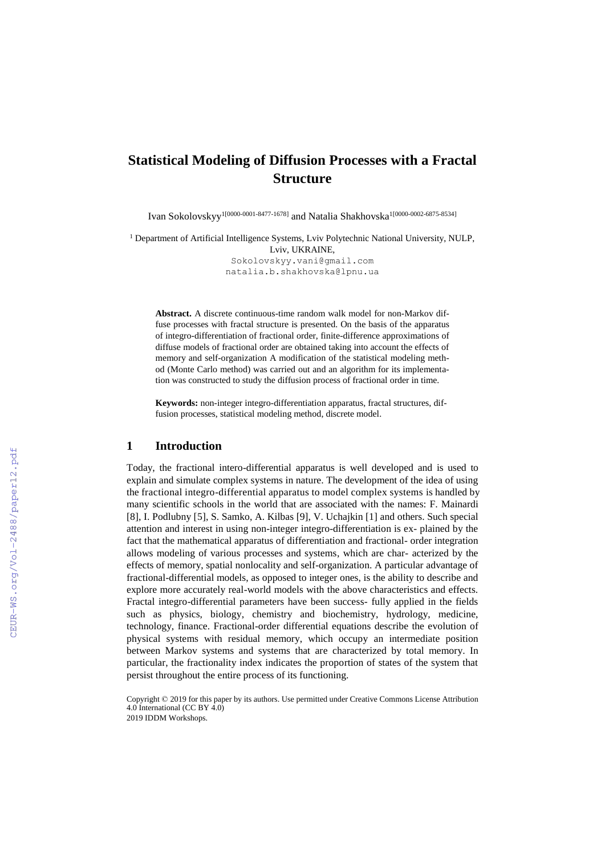# **Statistical Modeling of Diffusion Processes with a Fractal Structure**

Ivan Sokolovskyy 1[0000-0001-8477-1678] and Natalia Shakhovska 1[0000-0002-6875-8534]

<sup>1</sup> Department of Artificial Intelligence Systems, Lviv Polytechnic National University, NULP, Lviv, UKRAINE, Sokolovskyy.vani@gmail.com

[natalia.b.shakhovska@lpnu.ua](mailto:natalia.b.shakhovska@lpnu.ua)

**Abstract.** A discrete continuous-time random walk model for non-Markov diffuse processes with fractal structure is presented. On the basis of the apparatus of integro-differentiation of fractional order, finite-difference approximations of diffuse models of fractional order are obtained taking into account the effects of memory and self-organization A modification of the statistical modeling method (Monte Carlo method) was carried out and an algorithm for its implementation was constructed to study the diffusion process of fractional order in time.

**Keywords:** non-integer integro-differentiation apparatus, fractal structures, diffusion processes, statistical modeling method, discrete model.

### **1 Introduction**

Today, the fractional intero-differential apparatus is well developed and is used to explain and simulate complex systems in nature. The development of the idea of using the fractional integro-differential apparatus to model complex systems is handled by many scientific schools in the world that are associated with the names: F. Mainardi [8], I. Podlubny [5], S. Samko, A. Kilbas [9], V. Uchajkin [1] and others. Such special attention and interest in using non-integer integro-differentiation is ex- plained by the fact that the mathematical apparatus of differentiation and fractional- order integration allows modeling of various processes and systems, which are char- acterized by the effects of memory, spatial nonlocality and self-organization. A particular advantage of fractional-differential models, as opposed to integer ones, is the ability to describe and explore more accurately real-world models with the above characteristics and effects. Fractal integro-differential parameters have been success- fully applied in the fields such as physics, biology, chemistry and biochemistry, hydrology, medicine, technology, finance. Fractional-order differential equations describe the evolution of physical systems with residual memory, which occupy an intermediate position between Markov systems and systems that are characterized by total memory. In particular, the fractionality index indicates the proportion of states of the system that persist throughout the entire process of its functioning.

Copyright © 2019 for this paper by its authors. Use permitted under Creative Commons License Attribution 4.0 International (CC BY 4.0)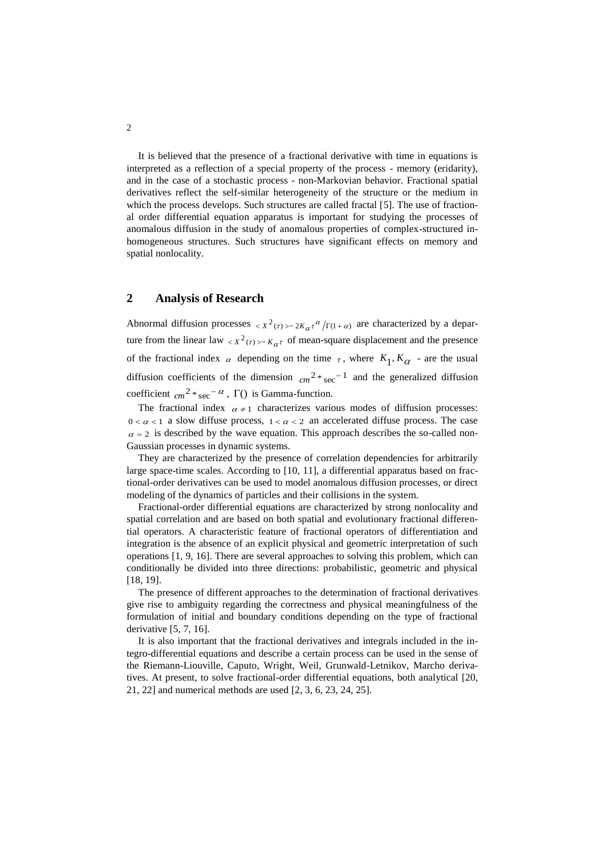It is believed that the presence of a fractional derivative with time in equations is interpreted as a reflection of a special property of the process - memory (eridarity), and in the case of a stochastic process - non-Markovian behavior. Fractional spatial derivatives reflect the self-similar heterogeneity of the structure or the medium in which the process develops. Such structures are called fractal [5]. The use of fractional order differential equation apparatus is important for studying the processes of anomalous diffusion in the study of anomalous properties of complex-structured inhomogeneous structures. Such structures have significant effects on memory and spatial nonlocality.

# **2 Analysis of Research**

Abnormal diffusion processes  $\langle x^2(\tau) \rangle \sim 2K_\alpha \tau^\alpha / \Gamma(1+\alpha)$  are characterized by a departure from the linear law  $\langle X^2(\tau) \rangle \sim K_{\alpha} \tau$  of mean-square displacement and the presence of the fractional index  $\alpha$  depending on the time  $\tau$ , where  $K_1, K_{\alpha}$  - are the usual diffusion coefficients of the dimension  $cm^{2}$ <sup>\*</sup> sec<sup>-1</sup> and the generalized diffusion coefficient  $_{cm}^{2}$  \* sec<sup>- $\alpha$ </sup>,  $\Gamma$ () is Gamma-function.

The fractional index  $\alpha \neq 1$  characterizes various modes of diffusion processes:  $0 < \alpha < 1$  a slow diffuse process,  $1 < \alpha < 2$  an accelerated diffuse process. The case  $\alpha$  = 2 is described by the wave equation. This approach describes the so-called non-Gaussian processes in dynamic systems.

They are characterized by the presence of correlation dependencies for arbitrarily large space-time scales. According to [10, 11], a differential apparatus based on fractional-order derivatives can be used to model anomalous diffusion processes, or direct modeling of the dynamics of particles and their collisions in the system.

Fractional-order differential equations are characterized by strong nonlocality and spatial correlation and are based on both spatial and evolutionary fractional differential operators. A characteristic feature of fractional operators of differentiation and integration is the absence of an explicit physical and geometric interpretation of such operations [1, 9, 16]. There are several approaches to solving this problem, which can conditionally be divided into three directions: probabilistic, geometric and physical [18, 19].

The presence of different approaches to the determination of fractional derivatives give rise to ambiguity regarding the correctness and physical meaningfulness of the formulation of initial and boundary conditions depending on the type of fractional derivative [5, 7, 16].

It is also important that the fractional derivatives and integrals included in the integro-differential equations and describe a certain process can be used in the sense of the Riemann-Liouville, Caputo, Wright, Weil, Grunwald-Letnikov, Marcho derivatives. At present, to solve fractional-order differential equations, both analytical [20, 21, 22] and numerical methods are used [2, 3, 6, 23, 24, 25].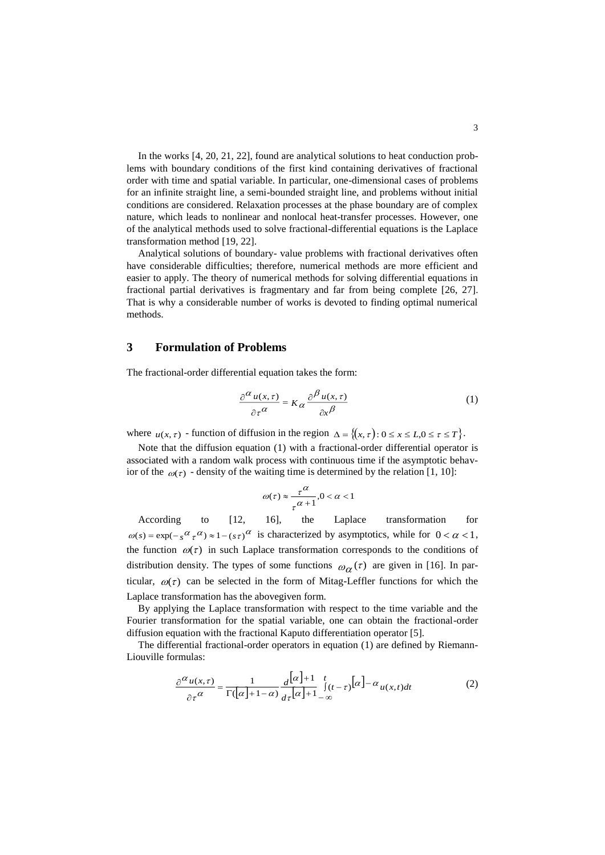In the works [4, 20, 21, 22], found are analytical solutions to heat conduction problems with boundary conditions of the first kind containing derivatives of fractional order with time and spatial variable. In particular, one-dimensional cases of problems for an infinite straight line, a semi-bounded straight line, and problems without initial conditions are considered. Relaxation processes at the phase boundary are of complex nature, which leads to nonlinear and nonlocal heat-transfer processes. However, one of the analytical methods used to solve fractional-differential equations is the Laplace transformation method [19, 22].

Analytical solutions of boundary- value problems with fractional derivatives often have considerable difficulties; therefore, numerical methods are more efficient and easier to apply. The theory of numerical methods for solving differential equations in fractional partial derivatives is fragmentary and far from being complete [26, 27]. That is why a considerable number of works is devoted to finding optimal numerical methods.

## **3 Formulation of Problems**

The fractional-order differential equation takes the form:

$$
\frac{\partial^{\alpha} u(x,\tau)}{\partial \tau^{\alpha}} = K_{\alpha} \frac{\partial^{\beta} u(x,\tau)}{\partial x^{\beta}}
$$
(1)

where  $u(x, \tau)$  - function of diffusion in the region  $\Delta = \{(x, \tau): 0 \le x \le L, 0 \le \tau \le T\}$ .

Note that the diffusion equation (1) with a fractional-order differential operator is associated with a random walk process with continuous time if the asymptotic behavior of the  $\omega(\tau)$  - density of the waiting time is determined by the relation [1, 10]:

$$
\omega(\tau) \approx \frac{\tau^{\alpha}}{\tau^{\alpha+1}}, 0 < \alpha < 1
$$

According to [12, 16], the Laplace transformation for  $\omega(s) = \exp(-s^{\alpha} \tau^{\alpha}) \approx 1 - (s \tau)^{\alpha}$  is characterized by asymptotics, while for  $0 < \alpha < 1$ , the function  $\omega(\tau)$  in such Laplace transformation corresponds to the conditions of distribution density. The types of some functions  $\omega_{\alpha}(\tau)$  are given in [16]. In particular,  $\omega(\tau)$  can be selected in the form of Mitag-Leffler functions for which the Laplace transformation has the abovegiven form.

By applying the Laplace transformation with respect to the time variable and the Fourier transformation for the spatial variable, one can obtain the fractional-order diffusion equation with the fractional Kaputo differentiation operator [5].

The differential fractional-order operators in equation (1) are defined by Riemann-Liouville formulas:

$$
\frac{\partial^{\alpha} u(x,\tau)}{\partial \tau^{\alpha}} = \frac{1}{\Gamma(|\alpha|+1-\alpha)} \frac{d^{\left[\alpha\right]+1}}{d\tau^{[\alpha]+1}-\infty} \int_{-\infty}^{t} [\alpha] - \alpha u(x,t)dt \tag{2}
$$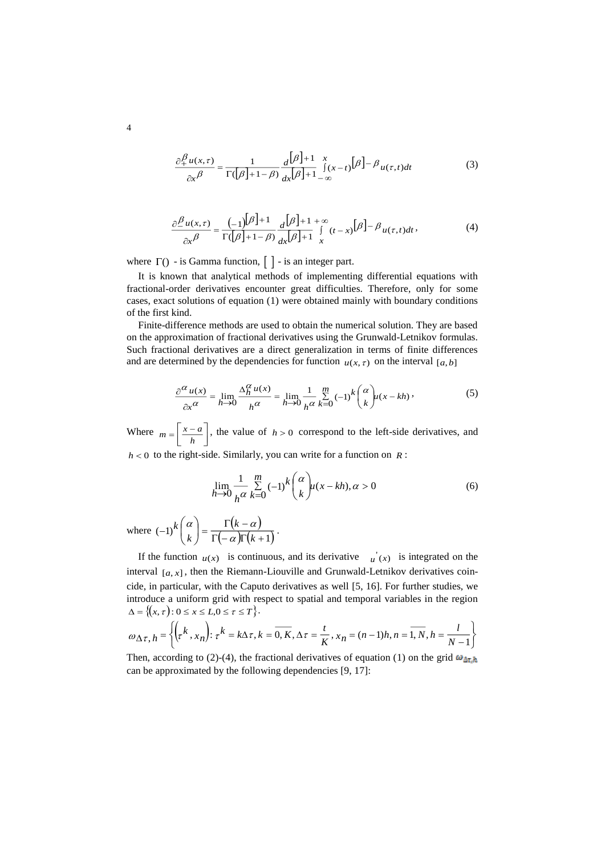$$
\frac{\partial_+^{\beta} u(x,\tau)}{\partial x^{\beta}} = \frac{1}{\Gamma(|\beta|+1-\beta)} \frac{d[\beta]+1}{dx^{|\beta|+1}-\infty} \int_{-\infty}^{\infty} f(x-t) \left[\beta\right] - \beta u(\tau,t)dt \tag{3}
$$

$$
\frac{\partial \frac{\beta}{\mu}(x,\tau)}{\partial x^{\beta}} = \frac{(-1)^{[\beta]+1}}{\Gamma([\beta]+1-\beta)} \frac{d^{[\beta]+1+\infty}}{dx^{[\beta]+1}} \int_{x}^{\infty} (t-x)^{[\beta]-\beta} u(\tau,t)dt
$$
 (4)

where  $\Gamma()$  - is Gamma function,  $\begin{bmatrix} \end{bmatrix}$  - is an integer part.

It is known that analytical methods of implementing differential equations with fractional-order derivatives encounter great difficulties. Therefore, only for some cases, exact solutions of equation (1) were obtained mainly with boundary conditions of the first kind.

Finite-difference methods are used to obtain the numerical solution. They are based on the approximation of fractional derivatives using the Grunwald-Letnikov formulas. Such fractional derivatives are a direct generalization in terms of finite differences and are determined by the dependencies for function  $u(x, \tau)$  on the interval [a, b]

$$
\frac{\partial^{\alpha} u(x)}{\partial x^{\alpha}} = \lim_{h \to 0} \frac{\Delta_h^{\alpha} u(x)}{h^{\alpha}} = \lim_{h \to 0} \frac{1}{h^{\alpha}} \sum_{k=0}^{m} (-1)^k {\alpha \choose k} u(x - kh),
$$
(5)

Where İ J 1 L  $=\left\lceil \frac{x-}{h} \right\rceil$  $m = \frac{|x-a|}{|x-a|}$ , the value of  $h > 0$  correspond to the left-side derivatives, and

 $h < 0$  to the right-side. Similarly, you can write for a function on  $R$ :

$$
\lim_{h \to 0} \frac{1}{h^{\alpha}} \sum_{k=0}^{m} (-1)^{k} {\alpha \choose k} u(x - kh), \alpha > 0
$$
 (6)

where  $(-1)^k \binom{\alpha}{k} = \frac{\Gamma(k-\alpha)}{\Gamma(k-\alpha)}$  $(-1)^k\binom{\infty}{k} = \frac{\Gamma(\infty)}{\Gamma(-\alpha)\Gamma(k+1)}$  $(-1)^k\binom{\alpha}{k} = \frac{\Gamma(k-1)}{\Gamma(k-1)}$ J  $\binom{\alpha}{\alpha}$  $\setminus$ ſ *k k k k* α  $\begin{bmatrix} \alpha \\ \beta \end{bmatrix} = \frac{\Gamma(k-\alpha)}{\Gamma(k-\alpha)}$ 

If the function  $u(x)$  is continuous, and its derivative  $u'(x)$  is integrated on the interval  $[a, x]$ , then the Riemann-Liouville and Grunwald-Letnikov derivatives coincide, in particular, with the Caputo derivatives as well [5, 16]. For further studies, we introduce a uniform grid with respect to spatial and temporal variables in the region  $\Delta = \{ (x, \tau) : 0 \le x \le L, 0 \le \tau \le T \}.$ 

$$
\omega_{\Delta \tau, h} = \left\{ \left( \tau^k, x_n \right) : \tau^k = k \Delta \tau, k = 0, K, \Delta \tau = \frac{t}{K}, x_n = (n-1)h, n = \overline{1, N}, h = \frac{l}{N-1} \right\}
$$

Then, according to (2)-(4), the fractional derivatives of equation (1) on the grid  $\omega_{\Delta\tau,h}$ can be approximated by the following dependencies [9, 17]:

4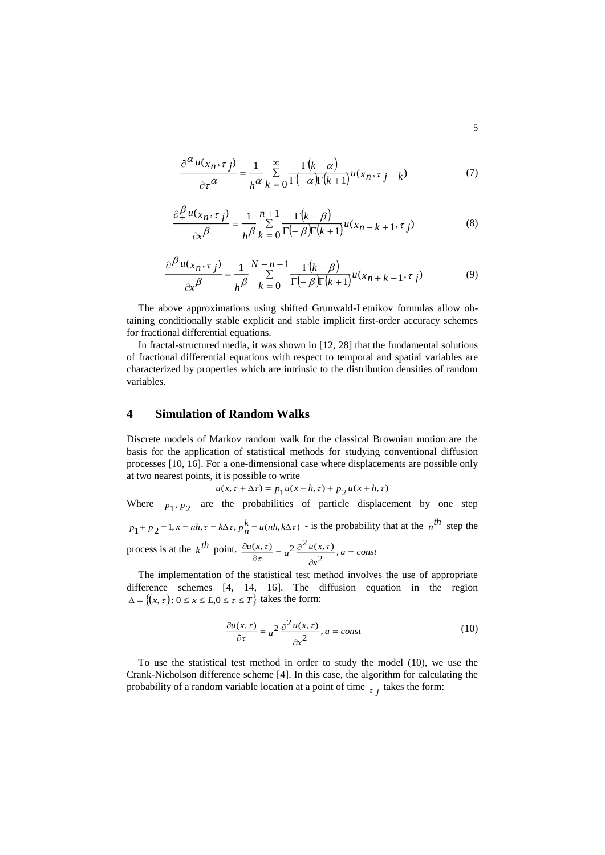$$
\frac{\partial^{\alpha} u(x_n, \tau_j)}{\partial \tau^{\alpha}} = \frac{1}{h^{\alpha}} \sum_{k=0}^{\infty} \frac{\Gamma(k-\alpha)}{\Gamma(-\alpha)\Gamma(k+1)} u(x_n, \tau_j - k)
$$
(7)

$$
\frac{\partial_+^{\beta} u(x_n, \tau_j)}{\partial x^{\beta}} = \frac{1}{h^{\beta}} \sum_{k=0}^{n+1} \frac{\Gamma(k-\beta)}{\Gamma(-\beta)\Gamma(k+1)} u(x_{n-k+1}, \tau_j)
$$
(8)

$$
\frac{\partial \frac{\beta}{\mu}(x_n, \tau_j)}{\partial x^{\beta}} = \frac{1}{h^{\beta}} \sum_{k=0}^{N-n-1} \frac{\Gamma(k-\beta)}{\Gamma(-\beta)\Gamma(k+1)} u(x_n + k-1, \tau_j)
$$
(9)

The above approximations using shifted Grunwald-Letnikov formulas allow obtaining conditionally stable explicit and stable implicit first-order accuracy schemes for fractional differential equations.

In fractal-structured media, it was shown in [12, 28] that the fundamental solutions of fractional differential equations with respect to temporal and spatial variables are characterized by properties which are intrinsic to the distribution densities of random variables.

# **4 Simulation of Random Walks**

Discrete models of Markov random walk for the classical Brownian motion are the basis for the application of statistical methods for studying conventional diffusion processes [10, 16]. For a one-dimensional case where displacements are possible only at two nearest points, it is possible to write

$$
u(x, \tau + \Delta \tau) = p_1 u(x - h, \tau) + p_2 u(x + h, \tau)
$$

Where  $p_1, p_2$  are the probabilities of particle displacement by one step  $p_1 + p_2 = 1, x = nh, \tau = k\Delta\tau, p_n^k = u(nh, k\Delta\tau)$  - is the probability that at the  $n^{th}$  step the process is at the  $k^{th}$  point.  $\frac{\partial u(x,\tau)}{\partial x} = a^2 \frac{\partial^2 u(x,\tau)}{\partial x}$ ,  $a = const$ *x*  $\frac{u(x,\tau)}{\partial \tau} = a^2 \frac{\partial^{-u(x,\tau)}}{\partial x^2}, a =$  $\frac{(x,\tau)}{\partial \tau} = a^2 \frac{\partial}{\partial \tau}$  $\frac{\partial u(x,\tau)}{\partial \tau} = a^2 \frac{\partial^2 u(x,\tau)}{\partial x^2},$  $(x, \tau)$  2  $\partial^2 u(x, \tau)$ ιτ τ

The implementation of the statistical test method involves the use of appropriate difference schemes [4, 14, 16]. The diffusion equation in the region  $\Delta = \{(x, \tau): 0 \le x \le L, 0 \le \tau \le T\}$  takes the form:

$$
\frac{\partial u(x,\tau)}{\partial \tau} = a^2 \frac{\partial^2 u(x,\tau)}{\partial x^2}, a = const
$$
 (10)

To use the statistical test method in order to study the model (10), we use the Crank-Nicholson difference scheme [4]. In this case, the algorithm for calculating the probability of a random variable location at a point of time  $\tau_j$  takes the form: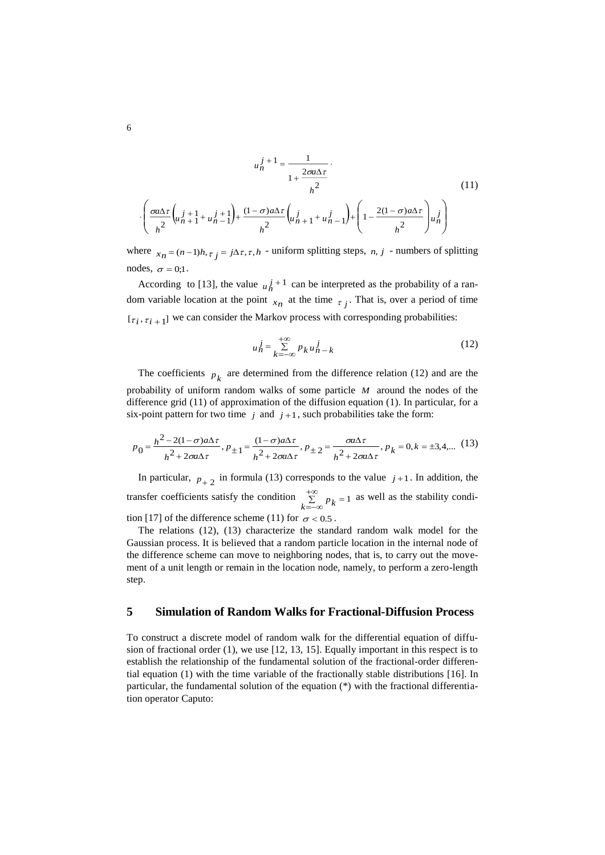$$
u_n^{j+1} = \frac{1}{1 + \frac{2\sigma u \Delta \tau}{h^2}}.
$$
\n
$$
\left(\frac{\sigma u \Delta \tau}{h^2} \left(u_{n+1}^{j+1} + u_{n-1}^{j+1}\right) + \frac{(1 - \sigma) a \Delta \tau}{h^2} \left(u_{n+1}^{j} + u_{n-1}^{j}\right) + \left(1 - \frac{2(1 - \sigma) a \Delta \tau}{h^2}\right) u_n^j\right)
$$
\n(11)

where  $x_n = (n-1)h$ ,  $\tau_j = j\Delta\tau$ ,  $\tau$ ,  $h$  - uniform splitting steps,  $n, j$  - numbers of splitting nodes,  $\sigma = 0;1$ .

According to [13], the value  $u_n^j$ <sup>+1</sup> can be interpreted as the probability of a random variable location at the point  $x_n$  at the time  $\tau_j$ . That is, over a period of time  $[\tau_i, \tau_{i+1}]$  we can consider the Markov process with corresponding probabilities:

$$
u_n^j = \sum_{k=-\infty}^{+\infty} p_k u_{n-k}^j
$$
 (12)

The coefficients  $p_k$  are determined from the difference relation (12) and are the probability of uniform random walks of some particle *M* around the nodes of the difference grid (11) of approximation of the diffusion equation (1). In particular, for a six-point pattern for two time  $j$  and  $j+1$ , such probabilities take the form:

$$
p_0 = \frac{h^2 - 2(1 - \sigma)a\Delta\tau}{h^2 + 2\sigma a\Delta\tau}, p_{\pm 1} = \frac{(1 - \sigma)a\Delta\tau}{h^2 + 2\sigma a\Delta\tau}, p_{\pm 2} = \frac{\sigma a\Delta\tau}{h^2 + 2\sigma a\Delta\tau}, p_k = 0, k = \pm 3, 4, \dots (13)
$$

In particular,  $p_{+2}$  in formula (13) corresponds to the value  $j+1$ . In addition, the transfer coefficients satisfy the condition  $\sum_{n=1}^{+\infty} p_n = 1$  $\sum_{k=-\infty}^{+\infty} p_k = 1$  as well as the stability condition [17] of the difference scheme (11) for  $\sigma$  < 0.5.

The relations (12), (13) characterize the standard random walk model for the Gaussian process. It is believed that a random particle location in the internal node of the difference scheme can move to neighboring nodes, that is, to carry out the movement of a unit length or remain in the location node, namely, to perform a zero-length step.

#### **5 Simulation of Random Walks for Fractional-Diffusion Process**

To construct a discrete model of random walk for the differential equation of diffusion of fractional order (1), we use [12, 13, 15]. Equally important in this respect is to establish the relationship of the fundamental solution of the fractional-order differential equation (1) with the time variable of the fractionally stable distributions [16]. In particular, the fundamental solution of the equation (\*) with the fractional differentiation operator Caputo: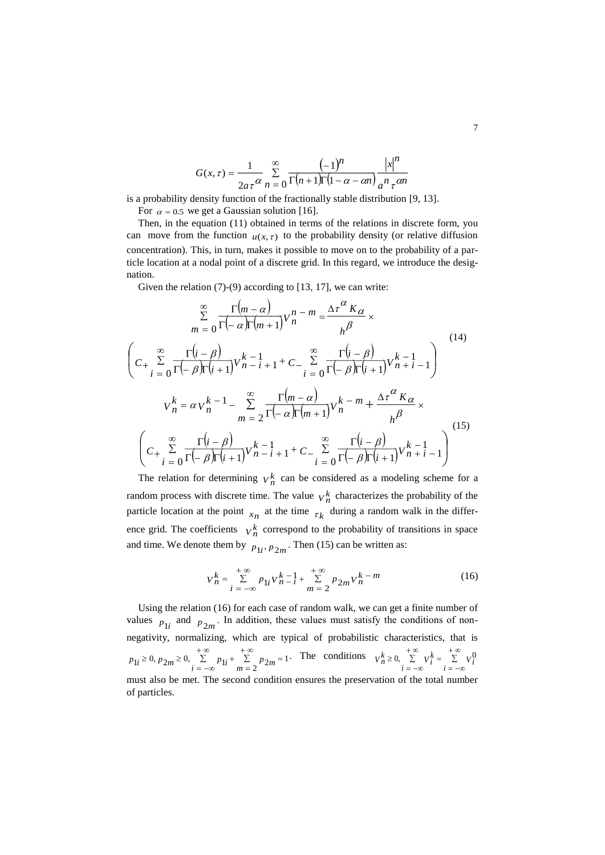$$
G(x,\tau) = \frac{1}{2a\tau^{\alpha}} \sum_{n=0}^{\infty} \frac{(-1)^n}{\Gamma(n+1)\Gamma(1-\alpha - \alpha n)} \frac{|x|^n}{a^n \tau^{\alpha n}}
$$

is a probability density function of the fractionally stable distribution [9, 13].

For  $\alpha = 0.5$  we get a Gaussian solution [16].

Then, in the equation (11) obtained in terms of the relations in discrete form, you can move from the function  $u(x, \tau)$  to the probability density (or relative diffusion concentration). This, in turn, makes it possible to move on to the probability of a particle location at a nodal point of a discrete grid. In this regard, we introduce the designation.

Given the relation (7)-(9) according to [13, 17], we can write:

$$
\sum_{m=0}^{\infty} \frac{\Gamma(m-\alpha)}{\Gamma(-\alpha)\Gamma(m+1)} V_n^{n-m} = \frac{\Delta \tau^{\alpha} K_{\alpha}}{h^{\beta}} \times
$$
\n
$$
\left(C_{+} \sum_{i=0}^{\infty} \frac{\Gamma(i-\beta)}{\Gamma(-\beta)\Gamma(i+1)} V_{n-i+1}^{k-1} + C_{-} \sum_{i=0}^{\infty} \frac{\Gamma(i-\beta)}{\Gamma(-\beta)\Gamma(i+1)} V_{n+i-1}^{k-1}\right)
$$
\n
$$
V_n^k = \alpha V_n^{k-1} - \sum_{m=2}^{\infty} \frac{\Gamma(m-\alpha)}{\Gamma(-\alpha)\Gamma(m+1)} V_n^{k-m} + \frac{\Delta \tau^{\alpha} K_{\alpha}}{h^{\beta}} \times
$$
\n
$$
\left(C_{+} \sum_{i=0}^{\infty} \frac{\Gamma(i-\beta)}{\Gamma(-\beta)\Gamma(i+1)} V_{n-i+1}^{k-1} + C_{-} \sum_{i=0}^{\infty} \frac{\Gamma(i-\beta)}{\Gamma(-\beta)\Gamma(i+1)} V_{n+i-1}^{k-1}\right)
$$
\n(15)

The relation for determining  $V_n^k$  can be considered as a modeling scheme for a random process with discrete time. The value  $V_h^k$  characterizes the probability of the particle location at the point  $x_n$  at the time  $\tau_k$  during a random walk in the difference grid. The coefficients  $V_n^k$  correspond to the probability of transitions in space and time. We denote them by  $p_{1i}$ ,  $p_{2m}$ . Then (15) can be written as:

$$
V_n^k = \sum_{i = -\infty}^{+\infty} p_{1i} V_{n-i}^k + \sum_{m = 2}^{+\infty} p_{2m} V_n^k - m
$$
 (16)

Using the relation (16) for each case of random walk, we can get a finite number of values  $p_{1i}$  and  $p_{2m}$ . In addition, these values must satisfy the conditions of nonnegativity, normalizing, which are typical of probabilistic characteristics, that is 1  $1_i \ge 0, p_{2m} \ge 0, \sum_{i=-\infty}^{+\infty} p_{1i} + \sum_{m=2}^{+\infty} p_{2m} =$ Ξ.  $\sum_{r=0}^{+\infty} p_{1}$  $=-\infty$  $\geq 0$ ,  $n_{\alpha} \geq$  $p_{1i} \ge 0$ ,  $p_{2m} \ge 0$ ,  $\sum_{i=-\infty}^{+\infty} p_{1i} + \sum_{m=2}^{+\infty} p_{2m} = 1$ . The conditions  $V_n^k \ge 0$ ,  $\sum_{i=-\infty}^{+\infty} V_i^k = \sum_{i=-\infty}^{+\infty}$  $=-\infty$  $\sum_{i=1}^{+\infty} V_i^k =$  $=-\infty$ ≥  $\sum_{i=-\infty}^{2} V_i^* = \sum_{i=-\infty}^{2} V_i^*$  $V_h^k \geq 0$ ,  $\sum V_i^k = \sum V_i^0$ must also be met. The second condition ensures the preservation of the total number of particles.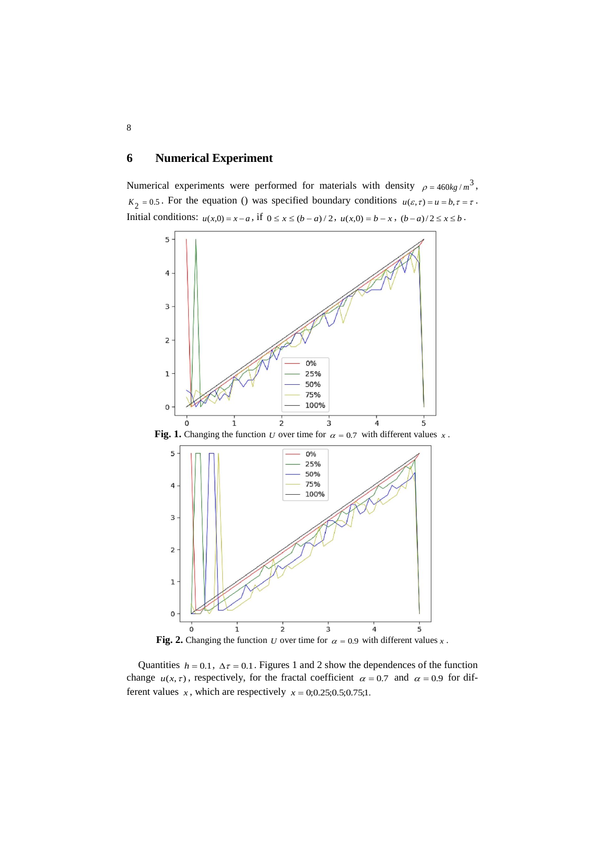# **6 Numerical Experiment**

Numerical experiments were performed for materials with density  $\rho = 460kg/m^3$ ,  $K_2 = 0.5$ . For the equation () was specified boundary conditions  $u(\varepsilon, \tau) = u = b, \tau = \tau$ . Initial conditions:  $u(x,0) = x - a$ , if  $0 \le x \le (b - a)/2$ ,  $u(x,0) = b - x$ ,  $(b - a)/2 \le x \le b$ .



Fig. 2. Changing the function U over time for  $\alpha = 0.9$  with different values x.

Quantities  $h = 0.1$ ,  $\Delta \tau = 0.1$ . Figures 1 and 2 show the dependences of the function change  $u(x, \tau)$ , respectively, for the fractal coefficient  $\alpha = 0.7$  and  $\alpha = 0.9$  for different values x, which are respectively  $x = 0.025; 0.5; 0.75; 1$ .

8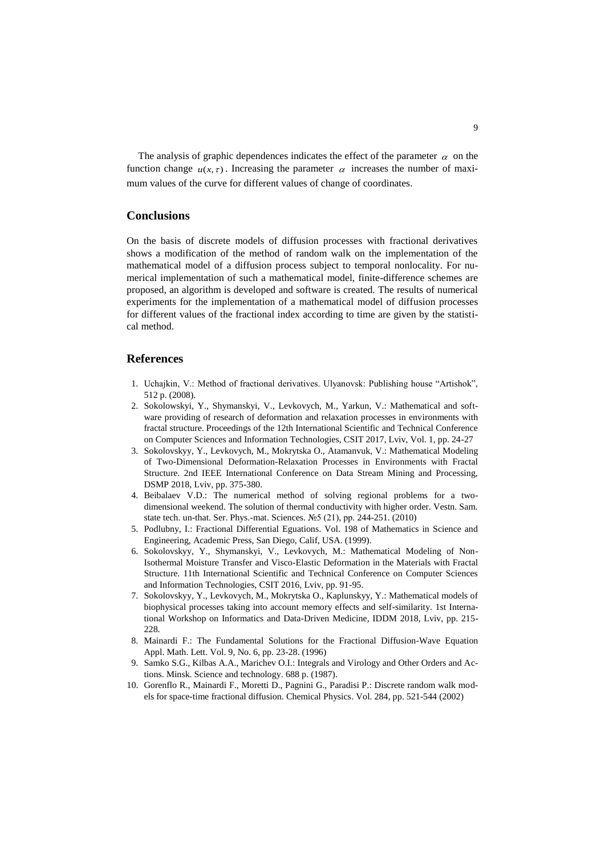The analysis of graphic dependences indicates the effect of the parameter  $\alpha$  on the function change  $u(x, \tau)$ . Increasing the parameter  $\alpha$  increases the number of maximum values of the curve for different values of change of coordinates.

## **Conclusions**

On the basis of discrete models of diffusion processes with fractional derivatives shows a modification of the method of random walk on the implementation of the mathematical model of a diffusion process subject to temporal nonlocality. For numerical implementation of such a mathematical model, finite-difference schemes are proposed, an algorithm is developed and software is created. The results of numerical experiments for the implementation of a mathematical model of diffusion processes for different values of the fractional index according to time are given by the statistical method.

### **References**

- 1. Uchajkin, V.: Method of fractional derivatives. Ulyanovsk: Publishing house "Artishok", 512 p. (2008).
- 2. Sokolowskyi, Y., Shymanskyi, V., Levkovych, M., Yarkun, V.: Mathematical and software providing of research of deformation and relaxation processes in environments with fractal structure. Proceedings of the 12th International Scientific and Technical Conference on Computer Sciences and Information Technologies, CSIT 2017, Lviv, Vol. 1, pp. 24-27
- 3. Sokolovskyy, Y., Levkovych, M., Mokrytska O., Atamanvuk, V.: Mathematical Modeling of Two-Dimensional Deformation-Relaxation Processes in Environments with Fractal Structure. 2nd IEEE International Conference on Data Stream Mining and Processing, DSMP 2018, Lviv, pp. 375-380.
- 4. Beibalaev V.D.: The numerical method of solving regional problems for a twodimensional weekend. The solution of thermal conductivity with higher order. Vestn. Sam. state tech. un-that. Ser. Phys.-mat. Sciences. №5 (21), pp. 244-251. (2010)
- 5. Podlubny, I.: Fractional Differential Eguations. Vol. 198 of Mathematics in Science and Engineering, Academic Press, San Diego, Calif, USA. (1999).
- 6. Sokolovskyy, Y., Shymanskyi, V., Levkovych, M.: Mathematical Modeling of Non-Isothermal Moisture Transfer and Visco-Elastic Deformation in the Materials with Fractal Structure. 11th International Scientific and Technical Conference on Computer Sciences and Information Technologies, CSIT 2016, Lviv, pp. 91-95.
- 7. Sokolovskyy, Y., Levkovych, M., Mokrytska O., Kaplunskyy, Y.: Mathematical models of biophysical processes taking into account memory effects and self-similarity. 1st International Workshop on Informatics and Data-Driven Medicine, IDDM 2018, Lviv, pp. 215- 228.
- 8. Mainardi F.: The Fundamental Solutions for the Fractional Diffusion-Wave Equation Appl. Math. Lett. Vol. 9, No. 6, pp. 23-28. (1996)
- 9. Samko S.G., Kilbas A.A., Marichev O.I.: Integrals and Virology and Other Orders and Actions. Minsk. Science and technology. 688 p. (1987).
- 10. Gorenflo R., Mainardi F., Moretti D., Pagnini G., Paradisi P.: Discrete random walk models for space-time fractional diffusion. Chemical Physics. Vol. 284, pp. 521-544 (2002)